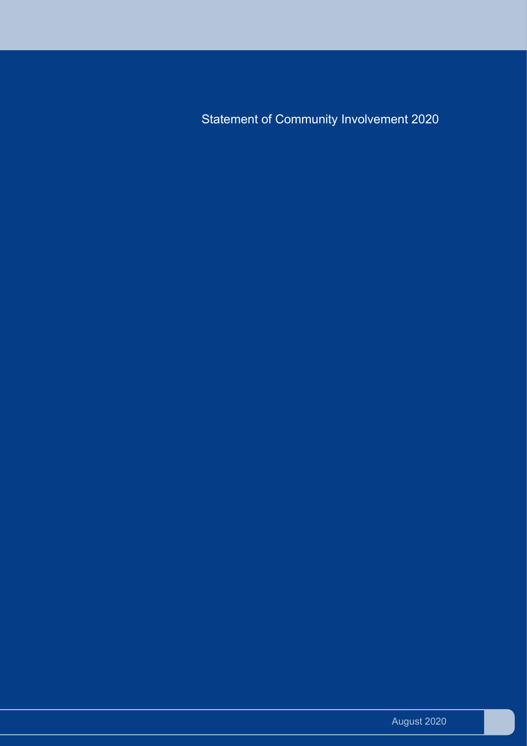Statement of Community Involvement 2020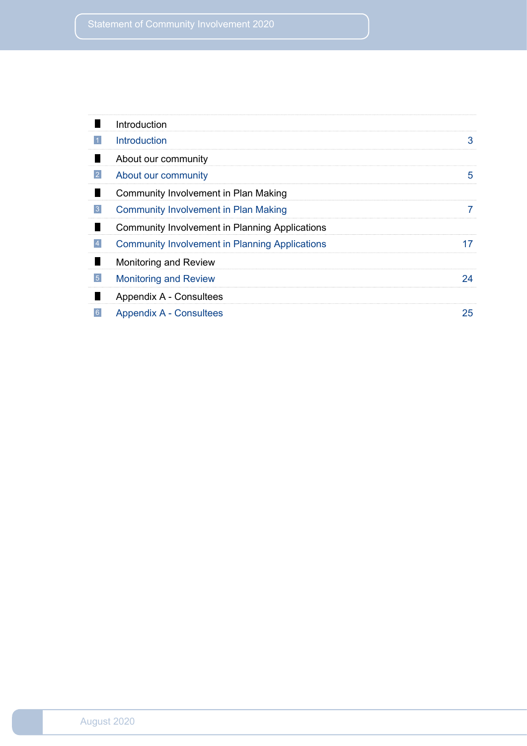|                | Introduction                                          |    |
|----------------|-------------------------------------------------------|----|
|                | <b>Introduction</b>                                   | 3  |
|                | About our community                                   |    |
| 2              | About our community                                   | 5  |
|                | Community Involvement in Plan Making                  |    |
| $\overline{3}$ | <b>Community Involvement in Plan Making</b>           |    |
|                | <b>Community Involvement in Planning Applications</b> |    |
| $\overline{4}$ | <b>Community Involvement in Planning Applications</b> |    |
|                | Monitoring and Review                                 |    |
| $\overline{5}$ | <b>Monitoring and Review</b>                          | 24 |
|                | Appendix A - Consultees                               |    |
| 6 <sup>°</sup> | <b>Appendix A - Consultees</b>                        | 25 |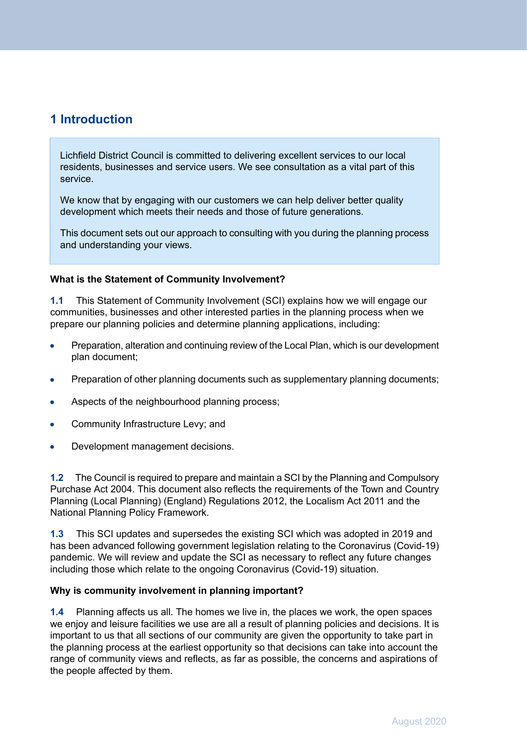# <span id="page-2-0"></span>**1 Introduction**

Lichfield District Council is committed to delivering excellent services to our local residents, businesses and service users. We see consultation as a vital part of this service.

We know that by engaging with our customers we can help deliver better quality development which meets their needs and those of future generations.

This document sets out our approach to consulting with you during the planning process and understanding your views.

# **What is the Statement of Community Involvement?**

**1.1** This Statement of Community Involvement (SCI) explains how we will engage our communities, businesses and other interested parties in the planning process when we prepare our planning policies and determine planning applications, including:

- Preparation, alteration and continuing review of the Local Plan, which is our development  $\bullet$ plan document;
- Preparation of other planning documents such as supplementary planning documents;
- Aspects of the neighbourhood planning process;  $\bullet$
- Community Infrastructure Levy; and  $\bullet$
- Development management decisions.  $\bullet$

**1.2** The Council is required to prepare and maintain a SCI by the Planning and Compulsory Purchase Act 2004. This document also reflects the requirements of the Town and Country Planning (Local Planning) (England) Regulations 2012, the Localism Act 2011 and the National Planning Policy Framework.

**1.3** This SCI updates and supersedes the existing SCI which was adopted in 2019 and has been advanced following government legislation relating to the Coronavirus (Covid-19) pandemic. We will review and update the SCI as necessary to reflect any future changes including those which relate to the ongoing Coronavirus (Covid-19) situation.

#### **Why is community involvement in planning important?**

**1.4** Planning affects us all. The homes we live in, the places we work, the open spaces we enjoy and leisure facilities we use are all a result of planning policies and decisions. It is important to us that all sections of our community are given the opportunity to take part in the planning process at the earliest opportunity so that decisions can take into account the range of community views and reflects, as far as possible, the concerns and aspirations of the people affected by them.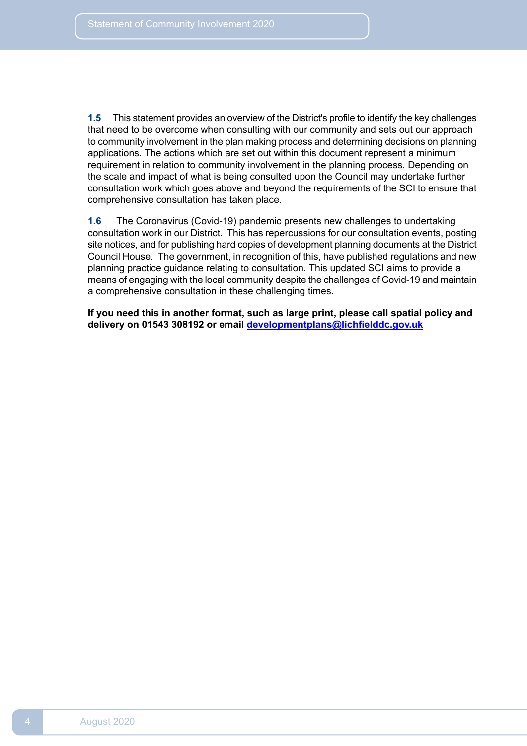**1.5** This statement provides an overview of the District's profile to identify the key challenges that need to be overcome when consulting with our community and sets out our approach to community involvement in the plan making process and determining decisions on planning applications. The actions which are set out within this document represent a minimum requirement in relation to community involvement in the planning process. Depending on the scale and impact of what is being consulted upon the Council may undertake further consultation work which goes above and beyond the requirements of the SCI to ensure that comprehensive consultation has taken place.

 **1.6** The Coronavirus (Covid-19) pandemic presents new challenges to undertaking consultation work in our District. This has repercussions for our consultation events, posting site notices, and for publishing hard copies of development planning documents at the District Council House. The government, in recognition of this, have published regulations and new planning practice guidance relating to consultation. This updated SCI aims to provide a means of engaging with the local community despite the challenges of Covid-19 and maintain a comprehensive consultation in these challenging times.

 **If you need this in another format, such as large print, please call spatial policy and delivery on 01543 308192 or email [developmentplans@lichfielddc.gov.uk](mailto:developmentplans@lichfielddc.gov.uk)**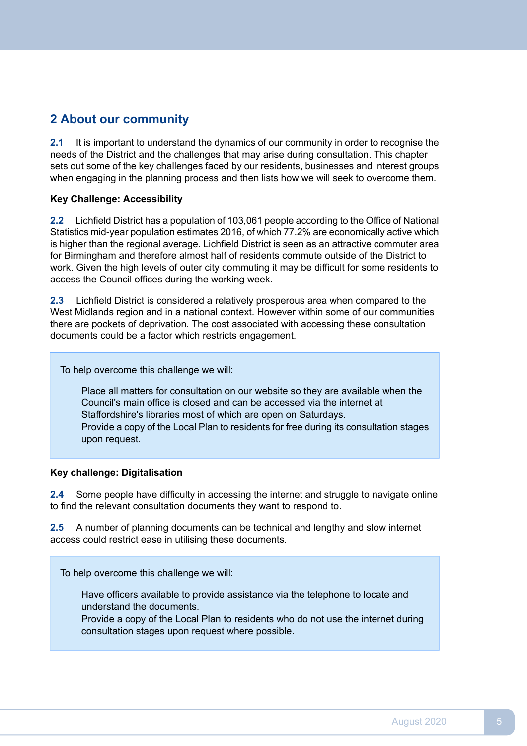# <span id="page-4-0"></span>**2 About our community**

 $2.1$  needs of the District and the challenges that may arise during consultation. This chapter sets out some of the key challenges faced by our residents, businesses and interest groups when engaging in the planning process and then lists how we will seek to overcome them. **2.1** It is important to understand the dynamics of our community in order to recognise the

# **Key Challenge: Accessibility**

 $2.2<sub>2</sub>$  Statistics mid-year population estimates 2016, of which 77.2% are economically active which is higher than the regional average. Lichfield District is seen as an attractive commuter area for Birmingham and therefore almost half of residents commute outside of the District to work. Given the high levels of outer city commuting it may be difficult for some residents to access the Council offices during the working week. **2.2** Lichfield District has a population of 103,061 people according to the Office of National

 $2.3$  West Midlands region and in a national context. However within some of our communities there are pockets of deprivation. The cost associated with accessing these consultation documents could be a factor which restricts engagement. **2.3** Lichfield District is considered a relatively prosperous area when compared to the

To help overcome this challenge we will:

Place all matters for consultation on our website so they are available when the Council's main office is closed and can be accessed via the internet at Staffordshire's libraries most of which are open on Saturdays. Provide a copy of the Local Plan to residents for free during its consultation stages upon request.

# **Key challenge: Digitalisation**

 $2.4$  to find the relevant consultation documents they want to respond to. **2.4** Some people have difficulty in accessing the internet and struggle to navigate online

 $2.5$  access could restrict ease in utilising these documents. **2.5** A number of planning documents can be technical and lengthy and slow internet

To help overcome this challenge we will:

Have officers available to provide assistance via the telephone to locate and understand the documents.

Provide a copy of the Local Plan to residents who do not use the internet during consultation stages upon request where possible.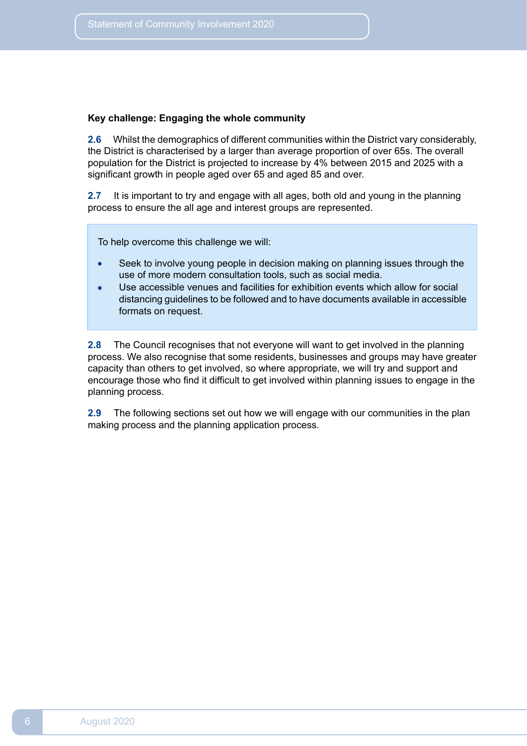### **Key challenge: Engaging the whole community**

**2.6** Whilst the demographics of different communities within the District vary considerably, the District is characterised by a larger than average proportion of over 65s. The overall population for the District is projected to increase by 4% between 2015 and 2025 with a significant growth in people aged over 65 and aged 85 and over.

**2.7** It is important to try and engage with all ages, both old and young in the planning process to ensure the all age and interest groups are represented.

To help overcome this challenge we will:

- Seek to involve young people in decision making on planning issues through the use of more modern consultation tools, such as social media.
- Use accessible venues and facilities for exhibition events which allow for social  $\bullet$ distancing guidelines to be followed and to have documents available in accessible formats on request.

**2.8** The Council recognises that not everyone will want to get involved in the planning process. We also recognise that some residents, businesses and groups may have greater capacity than others to get involved, so where appropriate, we will try and support and encourage those who find it difficult to get involved within planning issues to engage in the planning process.

**2.9** The following sections set out how we will engage with our communities in the plan making process and the planning application process.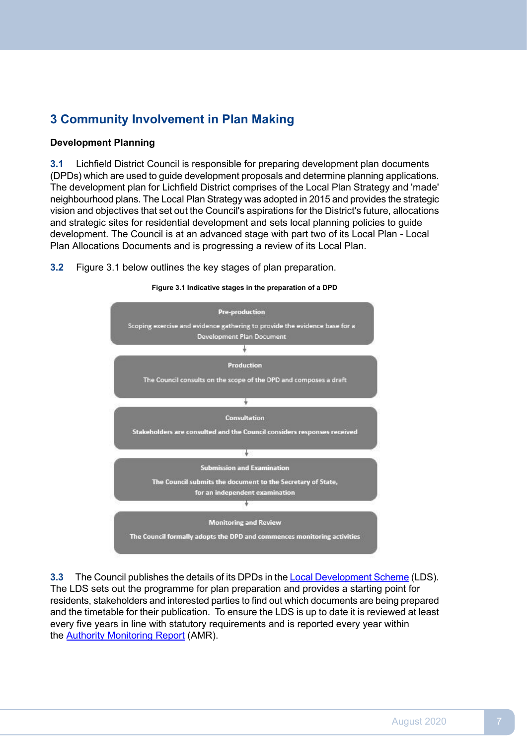# <span id="page-6-0"></span>**3 Community Involvement in Plan Making**

# **Development Planning**

 $3.1$  (DPDs) which are used to guide development proposals and determine planning applications. The development plan for Lichfield District comprises of the Local Plan Strategy and 'made' neighbourhood plans. The Local Plan Strategy was adopted in 2015 and provides the strategic vision and objectives that set out the Council's aspirations for the District's future, allocations and strategic sites for residential development and sets local planning policies to guide development. The Council is at an advanced stage with part two of its Local Plan - Local Plan Allocations Documents and is progressing a review of its Local Plan. **3.1** Lichfield District Council is responsible for preparing development plan documents

 $3.2$ **3.2** Figure 3.1 below outlines the key stages of plan preparation.



**Figure 3.1 Indicative stages in the preparation of a DPD**

 $3.3$  The LDS sets out the programme for plan preparation and provides a starting point for residents, stakeholders and interested parties to find out which documents are being prepared and the timetable for their publication. To ensure the LDS is up to date it is reviewed at least every five years in line with statutory requirements and is reported every year within the <u>Authority [Monitoring](https://www.lichfielddc.gov.uk/Council/Planning/The-local-plan-and-planning-policy/Resource-centre/Monitoring/Annualauthority-monitoring-report-AMR.aspx) Report</u> (AMR). **3.3** The Council publishes the details of its DPDs in the Local [Development](https://www.lichfielddc.gov.uk/Council/Planning/The-local-plan-and-planning-policy/Resource-centre/Local-Plan-documents/Downloads/Local-Development-Scheme/Local-Development-Scheme-2017.pdf) Scheme (LDS).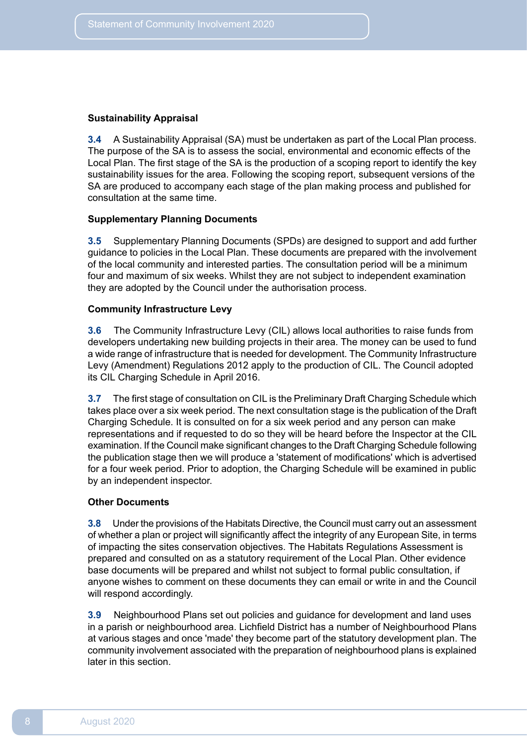#### **Sustainability Appraisal**

 **3.4** A Sustainability Appraisal (SA) must be undertaken as part of the Local Plan process. The purpose of the SA is to assess the social, environmental and economic effects of the Local Plan. The first stage of the SA is the production of a scoping report to identify the key sustainability issues for the area. Following the scoping report, subsequent versions of the SA are produced to accompany each stage of the plan making process and published for consultation at the same time.

### **Supplementary Planning Documents**

 **3.5** Supplementary Planning Documents (SPDs) are designed to support and add further guidance to policies in the Local Plan. These documents are prepared with the involvement of the local community and interested parties. The consultation period will be a minimum four and maximum of six weeks. Whilst they are not subject to independent examination they are adopted by the Council under the authorisation process.

# **Community Infrastructure Levy**

 **3.6** The Community Infrastructure Levy (CIL) allows local authorities to raise funds from developers undertaking new building projects in their area. The money can be used to fund a wide range of infrastructure that is needed for development. The Community Infrastructure Levy (Amendment) Regulations 2012 apply to the production of CIL. The Council adopted its CIL Charging Schedule in April 2016.

 **3.7** The first stage of consultation on CIL is the Preliminary Draft Charging Schedule which takes place over a six week period. The next consultation stage is the publication of the Draft Charging Schedule. It is consulted on for a six week period and any person can make representations and if requested to do so they will be heard before the Inspector at the CIL examination. If the Council make significant changes to the Draft Charging Schedule following the publication stage then we will produce a 'statement of modifications' which is advertised for a four week period. Prior to adoption, the Charging Schedule will be examined in public by an independent inspector.

# **Other Documents**

 **3.8** Under the provisions of the Habitats Directive, the Council must carry out an assessment of whether a plan or project will significantly affect the integrity of any European Site, in terms of impacting the sites conservation objectives. The Habitats Regulations Assessment is prepared and consulted on as a statutory requirement of the Local Plan. Other evidence base documents will be prepared and whilst not subject to formal public consultation, if anyone wishes to comment on these documents they can email or write in and the Council will respond accordingly.

 **3.9** Neighbourhood Plans set out policies and guidance for development and land uses in a parish or neighbourhood area. Lichfield District has a number of Neighbourhood Plans at various stages and once 'made' they become part of the statutory development plan. The community involvement associated with the preparation of neighbourhood plans is explained later in this section.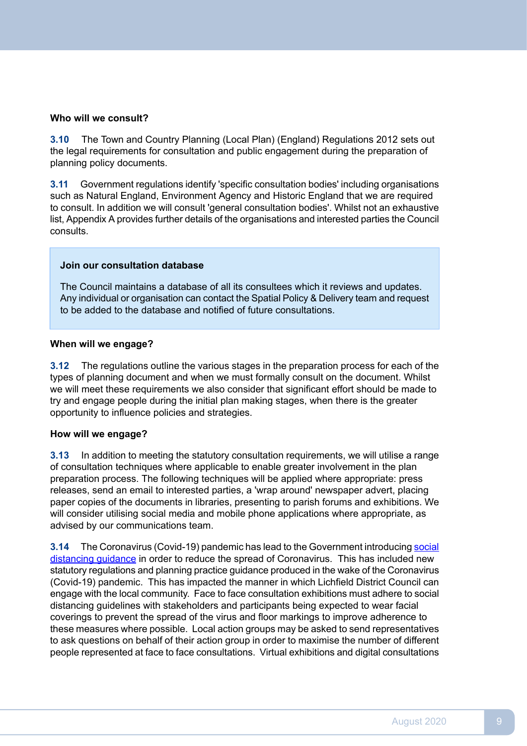### **Who will we consult?**

 $3.10$  the legal requirements for consultation and public engagement during the preparation of planning policy documents. **3.10** The Town and Country Planning (Local Plan) (England) Regulations 2012 sets out

 **3.11** Government regulations identify 'specific consultation bodies' including organisations such as Natural England, Environment Agency and Historic England that we are required to consult. In addition we will consult 'general consultation bodies'. Whilst not an exhaustive list, Appendix A provides further details of the organisations and interested parties the Council consults.

### **Join our consultation database**

The Council maintains a database of all its consultees which it reviews and updates. Any individual or organisation can contact the Spatial Policy & Delivery team and request to be added to the database and notified of future consultations.

# **When will we engage?**

 $3.12$  types of planning document and when we must formally consult on the document. Whilst we will meet these requirements we also consider that significant effort should be made to try and engage people during the initial plan making stages, when there is the greater opportunity to influence policies and strategies. **3.12** The regulations outline the various stages in the preparation process for each of the

# **How will we engage?**

 **3.13** In addition to meeting the statutory consultation requirements, we will utilise a range of consultation techniques where applicable to enable greater involvement in the plan preparation process. The following techniques will be applied where appropriate: press releases, send an email to interested parties, a 'wrap around' newspaper advert, placing paper copies of the documents in libraries, presenting to parish forums and exhibitions. We will consider utilising social media and mobile phone applications where appropriate, as advised by our communications team.

**3.14** The Coronavirus (Covid-19) pandemic has lead to the Government introducing social distancing guidance in order to reduce the spread of [Coronavirus.](https://www.gov.uk/government/publications/staying-alert-and-safe-social-distancing) This has included new statutory regulations and planning practice guidance produced in the wake of the Coronavirus (Covid-19) pandemic. This has impacted the manner in which Lichfield District Council can engage with the local community. Face to face consultation exhibitions must adhere to social distancing guidelines with stakeholders and participants being expected to wear facial coverings to prevent the spread of the virus and floor markings to improve adherence to these measures where possible. Local action groups may be asked to send representatives to ask questions on behalf of their action group in order to maximise the number of different people represented at face to face consultations. Virtual exhibitions and digital consultations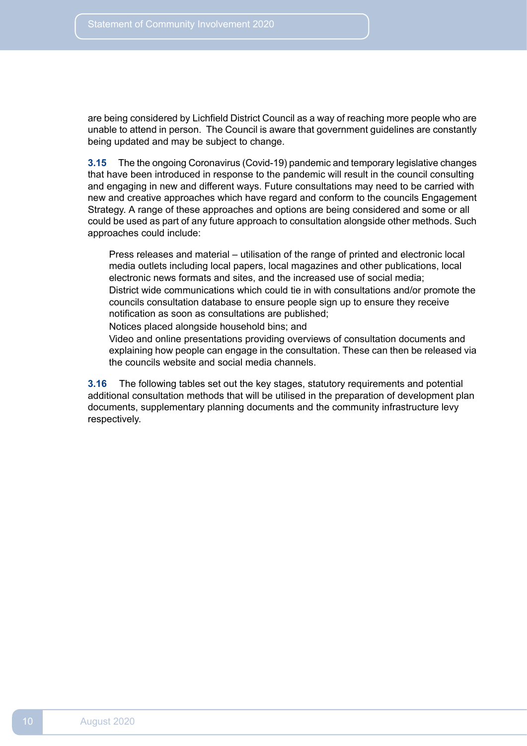are being considered by Lichfield District Council as a way of reaching more people who are unable to attend in person. The Council is aware that government guidelines are constantly being updated and may be subject to change.

 $3.15$  that have been introduced in response to the pandemic will result in the council consulting and engaging in new and different ways. Future consultations may need to be carried with new and creative approaches which have regard and conform to the councils Engagement Strategy. A range of these approaches and options are being considered and some or all could be used as part of any future approach to consultation alongside other methods. Such approaches could include: **3.15** The the ongoing Coronavirus (Covid-19) pandemic and temporary legislative changes

Press releases and material – utilisation of the range of printed and electronic local media outlets including local papers, local magazines and other publications, local electronic news formats and sites, and the increased use of social media; District wide communications which could tie in with consultations and/or promote the councils consultation database to ensure people sign up to ensure they receive notification as soon as consultations are published;

Notices placed alongside household bins; and

Video and online presentations providing overviews of consultation documents and explaining how people can engage in the consultation. These can then be released via the councils website and social media channels.

 $3.16$  additional consultation methods that will be utilised in the preparation of development plan documents, supplementary planning documents and the community infrastructure levy **3.16** The following tables set out the key stages, statutory requirements and potential respectively.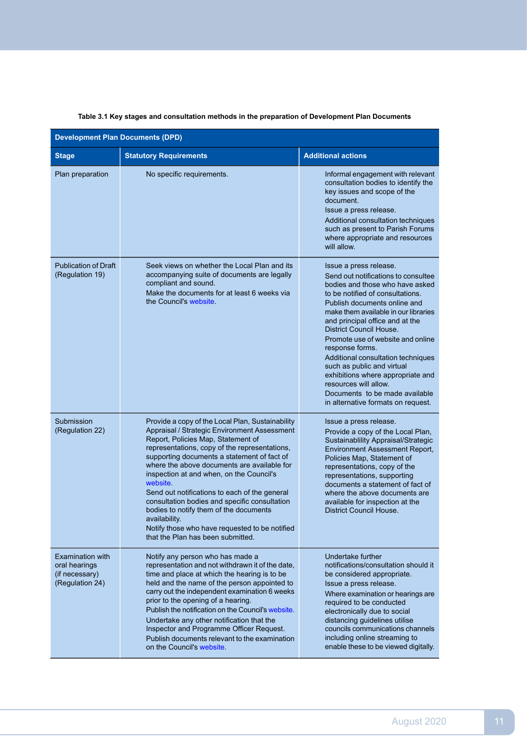| <b>Development Plan Documents (DPD)</b>                                       |                                                                                                                                                                                                                                                                                                                                                                                                                                                                                                                                                                                                   |                                                                                                                                                                                                                                                                                                                                                                                                                                                                                                                                              |  |  |
|-------------------------------------------------------------------------------|---------------------------------------------------------------------------------------------------------------------------------------------------------------------------------------------------------------------------------------------------------------------------------------------------------------------------------------------------------------------------------------------------------------------------------------------------------------------------------------------------------------------------------------------------------------------------------------------------|----------------------------------------------------------------------------------------------------------------------------------------------------------------------------------------------------------------------------------------------------------------------------------------------------------------------------------------------------------------------------------------------------------------------------------------------------------------------------------------------------------------------------------------------|--|--|
| <b>Stage</b>                                                                  | <b>Statutory Requirements</b>                                                                                                                                                                                                                                                                                                                                                                                                                                                                                                                                                                     | <b>Additional actions</b>                                                                                                                                                                                                                                                                                                                                                                                                                                                                                                                    |  |  |
| Plan preparation                                                              | No specific requirements.                                                                                                                                                                                                                                                                                                                                                                                                                                                                                                                                                                         | Informal engagement with relevant<br>consultation bodies to identify the<br>key issues and scope of the<br>document.<br>Issue a press release.<br>Additional consultation techniques<br>such as present to Parish Forums<br>where appropriate and resources<br>will allow.                                                                                                                                                                                                                                                                   |  |  |
| <b>Publication of Draft</b><br>(Regulation 19)                                | Seek views on whether the Local Plan and its<br>accompanying suite of documents are legally<br>compliant and sound.<br>Make the documents for at least 6 weeks via<br>the Council's website.                                                                                                                                                                                                                                                                                                                                                                                                      | Issue a press release.<br>Send out notifications to consultee<br>bodies and those who have asked<br>to be notified of consultations.<br>Publish documents online and<br>make them available in our libraries<br>and principal office and at the<br>District Council House.<br>Promote use of website and online<br>response forms.<br>Additional consultation techniques<br>such as public and virtual<br>exhibitions where appropriate and<br>resources will allow.<br>Documents to be made available<br>in alternative formats on request. |  |  |
| Submission<br>(Regulation 22)                                                 | Provide a copy of the Local Plan, Sustainability<br>Appraisal / Strategic Environment Assessment<br>Report, Policies Map, Statement of<br>representations, copy of the representations,<br>supporting documents a statement of fact of<br>where the above documents are available for<br>inspection at and when, on the Council's<br>website.<br>Send out notifications to each of the general<br>consultation bodies and specific consultation<br>bodies to notify them of the documents<br>availability.<br>Notify those who have requested to be notified<br>that the Plan has been submitted. | Issue a press release.<br>Provide a copy of the Local Plan,<br>Sustainablility Appraisal/Strategic<br>Environment Assessment Report,<br>Policies Map, Statement of<br>representations, copy of the<br>representations, supporting<br>documents a statement of fact of<br>where the above documents are<br>available for inspection at the<br><b>District Council House.</b>                                                                                                                                                                  |  |  |
| <b>Examination with</b><br>oral hearings<br>(if necessary)<br>(Regulation 24) | Notify any person who has made a<br>representation and not withdrawn it of the date,<br>time and place at which the hearing is to be<br>held and the name of the person appointed to<br>carry out the independent examination 6 weeks<br>prior to the opening of a hearing.<br>Publish the notification on the Council's website.<br>Undertake any other notification that the<br>Inspector and Programme Officer Request.<br>Publish documents relevant to the examination<br>on the Council's website.                                                                                          | Undertake further<br>notifications/consultation should it<br>be considered appropriate.<br>Issue a press release.<br>Where examination or hearings are<br>required to be conducted<br>electronically due to social<br>distancing guidelines utilise<br>councils communications channels<br>including online streaming to<br>enable these to be viewed digitally.                                                                                                                                                                             |  |  |

#### **Table 3.1 Key stages and consultation methods in the preparation of Development Plan Documents**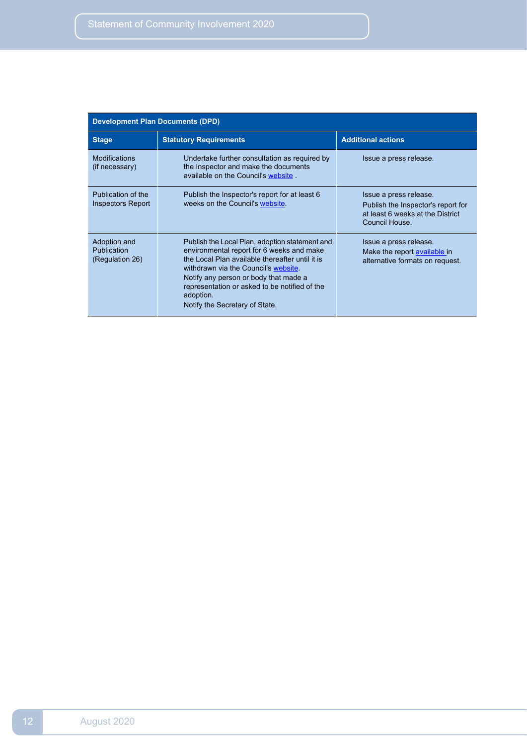| <b>Development Plan Documents (DPD)</b>        |                                                                                                                                                                                                                                                                                                                                 |                                                                                                                    |  |  |
|------------------------------------------------|---------------------------------------------------------------------------------------------------------------------------------------------------------------------------------------------------------------------------------------------------------------------------------------------------------------------------------|--------------------------------------------------------------------------------------------------------------------|--|--|
| <b>Stage</b>                                   | <b>Statutory Requirements</b>                                                                                                                                                                                                                                                                                                   | <b>Additional actions</b>                                                                                          |  |  |
| <b>Modifications</b><br>(if necessary)         | Undertake further consultation as required by<br>the Inspector and make the documents<br>available on the Council's website                                                                                                                                                                                                     | Issue a press release.                                                                                             |  |  |
| Publication of the<br>Inspectors Report        | Publish the Inspector's report for at least 6<br>weeks on the Council's website.                                                                                                                                                                                                                                                | Issue a press release.<br>Publish the Inspector's report for<br>at least 6 weeks at the District<br>Council House. |  |  |
| Adoption and<br>Publication<br>(Regulation 26) | Publish the Local Plan, adoption statement and<br>environmental report for 6 weeks and make<br>the Local Plan available thereafter until it is<br>withdrawn via the Council's website.<br>Notify any person or body that made a<br>representation or asked to be notified of the<br>adoption.<br>Notify the Secretary of State. | Issue a press release.<br>Make the report available in<br>alternative formats on request.                          |  |  |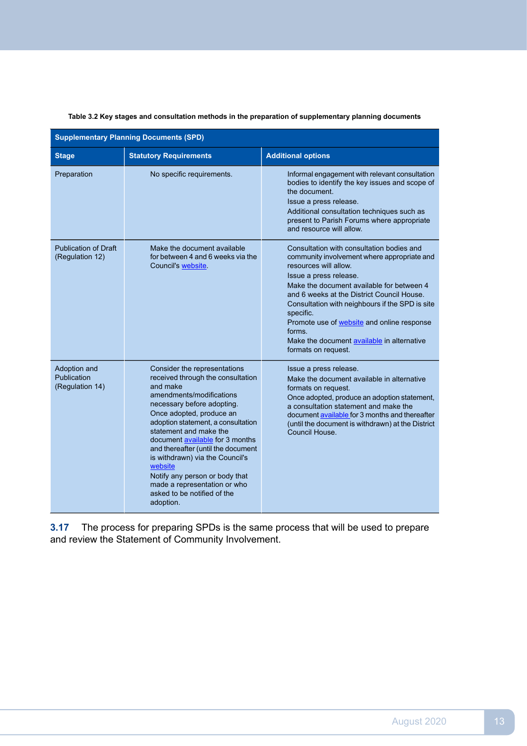|  |  |  | Table 3.2 Key stages and consultation methods in the preparation of supplementary planning documents |  |
|--|--|--|------------------------------------------------------------------------------------------------------|--|

| <b>Supplementary Planning Documents (SPD)</b>  |                                                                                                                                                                                                                                                                                                                                                                                                                                                                          |                                                                                                                                                                                                                                                                                                                                                                                                                                            |  |  |
|------------------------------------------------|--------------------------------------------------------------------------------------------------------------------------------------------------------------------------------------------------------------------------------------------------------------------------------------------------------------------------------------------------------------------------------------------------------------------------------------------------------------------------|--------------------------------------------------------------------------------------------------------------------------------------------------------------------------------------------------------------------------------------------------------------------------------------------------------------------------------------------------------------------------------------------------------------------------------------------|--|--|
| <b>Stage</b>                                   | <b>Statutory Requirements</b>                                                                                                                                                                                                                                                                                                                                                                                                                                            | <b>Additional options</b>                                                                                                                                                                                                                                                                                                                                                                                                                  |  |  |
| Preparation                                    | No specific requirements.                                                                                                                                                                                                                                                                                                                                                                                                                                                | Informal engagement with relevant consultation<br>bodies to identify the key issues and scope of<br>the document.<br>Issue a press release.<br>Additional consultation techniques such as<br>present to Parish Forums where appropriate<br>and resource will allow.                                                                                                                                                                        |  |  |
| <b>Publication of Draft</b><br>(Regulation 12) | Make the document available<br>for between 4 and 6 weeks via the<br>Council's website                                                                                                                                                                                                                                                                                                                                                                                    | Consultation with consultation bodies and<br>community involvement where appropriate and<br>resources will allow.<br>Issue a press release.<br>Make the document available for between 4<br>and 6 weeks at the District Council House.<br>Consultation with neighbours if the SPD is site<br>specific.<br>Promote use of <b>website</b> and online response<br>forms.<br>Make the document available in alternative<br>formats on request. |  |  |
| Adoption and<br>Publication<br>(Regulation 14) | Consider the representations<br>received through the consultation<br>and make<br>amendments/modifications<br>necessary before adopting.<br>Once adopted, produce an<br>adoption statement, a consultation<br>statement and make the<br>document available for 3 months<br>and thereafter (until the document<br>is withdrawn) via the Council's<br>website<br>Notify any person or body that<br>made a representation or who<br>asked to be notified of the<br>adoption. | Issue a press release.<br>Make the document available in alternative<br>formats on request.<br>Once adopted, produce an adoption statement,<br>a consultation statement and make the<br>document available for 3 months and thereafter<br>(until the document is withdrawn) at the District<br>Council House.                                                                                                                              |  |  |

**3.17** The process for preparing SPDs is the same process that will be used to prepare and review the Statement of Community Involvement.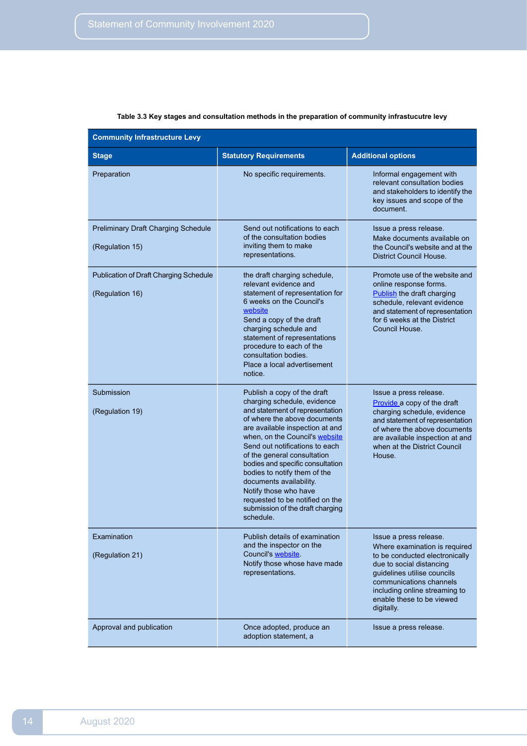| <b>Community Infrastructure Levy</b>                          |                                                                                                                                                                                                                                                                                                                                                                                                                                                                                 |                                                                                                                                                                                                                                                             |  |  |
|---------------------------------------------------------------|---------------------------------------------------------------------------------------------------------------------------------------------------------------------------------------------------------------------------------------------------------------------------------------------------------------------------------------------------------------------------------------------------------------------------------------------------------------------------------|-------------------------------------------------------------------------------------------------------------------------------------------------------------------------------------------------------------------------------------------------------------|--|--|
| <b>Stage</b>                                                  | <b>Statutory Requirements</b>                                                                                                                                                                                                                                                                                                                                                                                                                                                   | <b>Additional options</b>                                                                                                                                                                                                                                   |  |  |
| Preparation                                                   | No specific requirements.                                                                                                                                                                                                                                                                                                                                                                                                                                                       | Informal engagement with<br>relevant consultation bodies<br>and stakeholders to identify the<br>key issues and scope of the<br>document.                                                                                                                    |  |  |
| <b>Preliminary Draft Charging Schedule</b><br>(Regulation 15) | Send out notifications to each<br>of the consultation bodies<br>inviting them to make<br>representations.                                                                                                                                                                                                                                                                                                                                                                       | Issue a press release.<br>Make documents available on<br>the Council's website and at the<br>District Council House.                                                                                                                                        |  |  |
| Publication of Draft Charging Schedule<br>(Regulation 16)     | the draft charging schedule,<br>relevant evidence and<br>statement of representation for<br>6 weeks on the Council's<br>website<br>Send a copy of the draft<br>charging schedule and<br>statement of representations<br>procedure to each of the<br>consultation bodies.<br>Place a local advertisement<br>notice.                                                                                                                                                              | Promote use of the website and<br>online response forms.<br>Publish the draft charging<br>schedule, relevant evidence<br>and statement of representation<br>for 6 weeks at the District<br>Council House.                                                   |  |  |
| Submission<br>(Regulation 19)                                 | Publish a copy of the draft<br>charging schedule, evidence<br>and statement of representation<br>of where the above documents<br>are available inspection at and<br>when, on the Council's website<br>Send out notifications to each<br>of the general consultation<br>bodies and specific consultation<br>bodies to notify them of the<br>documents availability.<br>Notify those who have<br>requested to be notified on the<br>submission of the draft charging<br>schedule. | Issue a press release.<br>Provide a copy of the draft<br>charging schedule, evidence<br>and statement of representation<br>of where the above documents<br>are available inspection at and<br>when at the District Council<br>House.                        |  |  |
| Examination<br>(Regulation 21)                                | Publish details of examination<br>and the inspector on the<br>Council's website.<br>Notify those whose have made<br>representations.                                                                                                                                                                                                                                                                                                                                            | Issue a press release.<br>Where examination is required<br>to be conducted electronically<br>due to social distancing<br>guidelines utilise councils<br>communications channels<br>including online streaming to<br>enable these to be viewed<br>digitally. |  |  |
| Approval and publication                                      | Once adopted, produce an<br>adoption statement, a                                                                                                                                                                                                                                                                                                                                                                                                                               | Issue a press release.                                                                                                                                                                                                                                      |  |  |

#### **Table 3.3 Key stages and consultation methods in the preparation of community infrastucutre levy**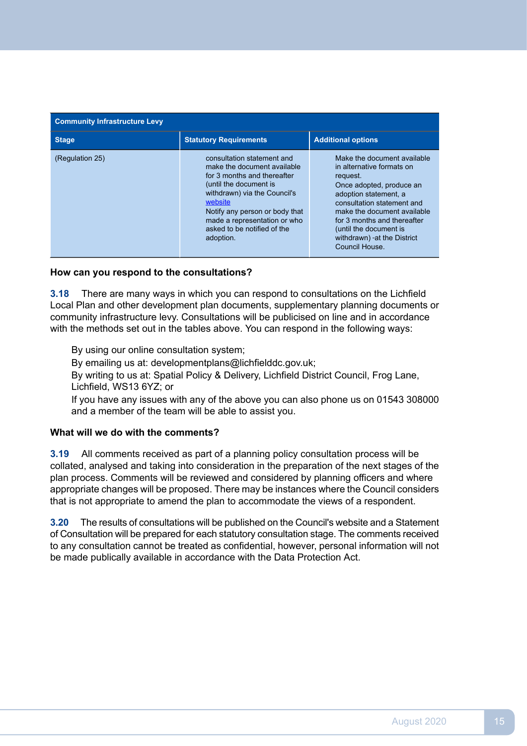| <b>Community Infrastructure Levy</b> |                                                                                                                                                                                                                                                                             |                                                                                                                                                                                                                                                                                                   |  |
|--------------------------------------|-----------------------------------------------------------------------------------------------------------------------------------------------------------------------------------------------------------------------------------------------------------------------------|---------------------------------------------------------------------------------------------------------------------------------------------------------------------------------------------------------------------------------------------------------------------------------------------------|--|
| <b>Stage</b>                         | <b>Statutory Requirements</b>                                                                                                                                                                                                                                               | <b>Additional options</b>                                                                                                                                                                                                                                                                         |  |
| (Regulation 25)                      | consultation statement and<br>make the document available<br>for 3 months and thereafter<br>(until the document is<br>withdrawn) via the Council's<br>website<br>Notify any person or body that<br>made a representation or who<br>asked to be notified of the<br>adoption. | Make the document available<br>in alternative formats on<br>request.<br>Once adopted, produce an<br>adoption statement, a<br>consultation statement and<br>make the document available<br>for 3 months and thereafter<br>(until the document is<br>withdrawn) - at the District<br>Council House. |  |

# **How can you respond to the consultations?**

 **3.18** There are many ways in which you can respond to consultations on the Lichfield Local Plan and other development plan documents, supplementary planning documents or community infrastructure levy. Consultations will be publicised on line and in accordance with the methods set out in the tables above. You can respond in the following ways:

By using our online consultation system;

By emailing us at: [developmentplans@lichfielddc.gov.uk;](mailto:developmentplans@lichfielddc.gov.uk)

By writing to us at: Spatial Policy & Delivery, Lichfield District Council, Frog Lane, Lichfield, WS13 6YZ; or

If you have any issues with any of the above you can also phone us on 01543 308000 and a member of the team will be able to assist you.

### **What will we do with the comments?**

 $3.19$  collated, analysed and taking into consideration in the preparation of the next stages of the plan process. Comments will be reviewed and considered by planning officers and where appropriate changes will be proposed. There may be instances where the Council considers that is not appropriate to amend the plan to accommodate the views of a respondent. **3.19** All comments received as part of a planning policy consultation process will be

 $3.20$  of Consultation will be prepared for each statutory consultation stage. The comments received to any consultation cannot be treated as confidential, however, personal information will not be made publically available in accordance with the Data Protection Act. **3.20** The results of consultations will be published on the Council's website and a Statement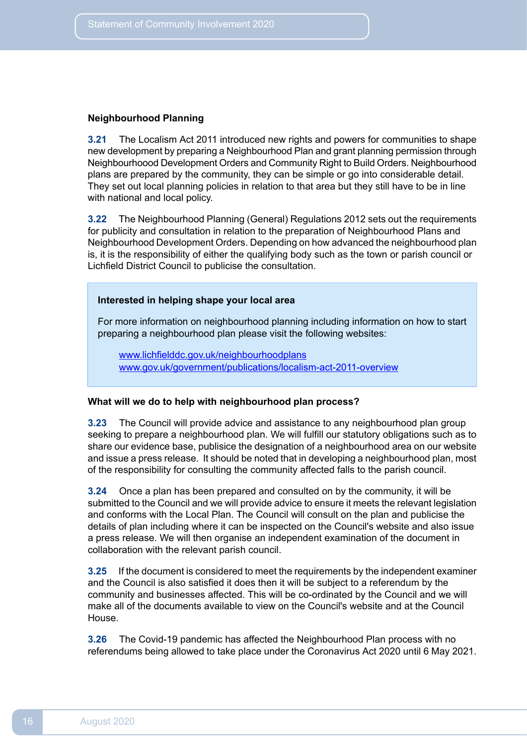#### **Neighbourhood Planning**

 **3.21** The Localism Act 2011 introduced new rights and powers for communities to shape new development by preparing a Neighbourhood Plan and grant planning permission through Neighbourhoood Development Orders and Community Right to Build Orders. Neighbourhood plans are prepared by the community, they can be simple or go into considerable detail. They set out local planning policies in relation to that area but they still have to be in line with national and local policy.

 **3.22** The Neighbourhood Planning (General) Regulations 2012 sets out the requirements for publicity and consultation in relation to the preparation of Neighbourhood Plans and Neighbourhood Development Orders. Depending on how advanced the neighbourhood plan is, it is the responsibility of either the qualifying body such as the town or parish council or Lichfield District Council to publicise the consultation.

### **Interested in helping shape your local area**

For more information on neighbourhood planning including information on how to start preparing a neighbourhood plan please visit the following websites:

[www.lichfielddc.gov.uk/neighbourhoodplans](https://www.lichfielddc.gov.uk/Council/Planning/The-local-plan-and-planning-policy/Neighbourhood-plans/Neighbourhood-plans.aspx) [www.gov.uk/government/publications/localism-act-2011-overview](https://www.gov.uk/government/publications/localism-act-2011-overview)

#### **What will we do to help with neighbourhood plan process?**

 **3.23** The Council will provide advice and assistance to any neighbourhood plan group seeking to prepare a neighbourhood plan. We will fulfill our statutory obligations such as to share our evidence base, publisice the designation of a neighbourhood area on our website and issue a press release. It should be noted that in developing a neighbourhood plan, most of the responsibility for consulting the community affected falls to the parish council.

 **3.24** Once a plan has been prepared and consulted on by the community, it will be submitted to the Council and we will provide advice to ensure it meets the relevant legislation and conforms with the Local Plan. The Council will consult on the plan and publicise the details of plan including where it can be inspected on the Council's website and also issue a press release. We will then organise an independent examination of the document in collaboration with the relevant parish council.

 **3.25** If the document is considered to meet the requirements by the independent examiner and the Council is also satisfied it does then it will be subject to a referendum by the community and businesses affected. This will be co-ordinated by the Council and we will make all of the documents available to view on the Council's website and at the Council House.

 **3.26** The Covid-19 pandemic has affected the Neighbourhood Plan process with no referendums being allowed to take place under the Coronavirus Act 2020 until 6 May 2021.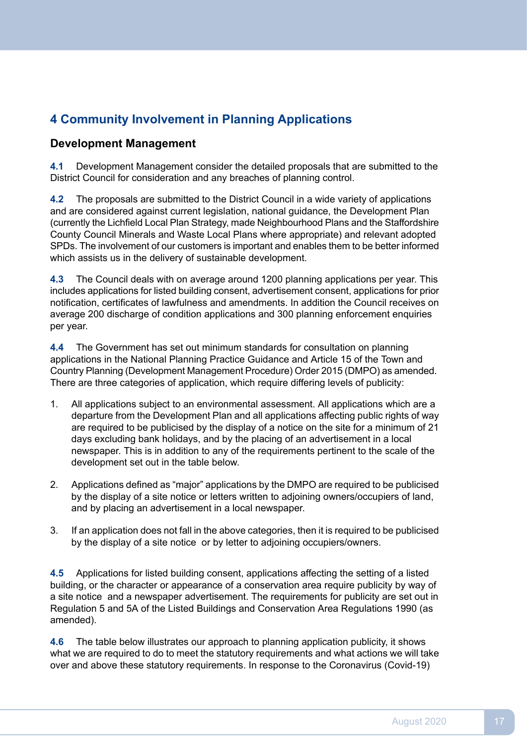# <span id="page-16-0"></span>**4 Community Involvement in Planning Applications**

# **Development Management**

 **4.1** Development Management consider the detailed proposals that are submitted to the District Council for consideration and any breaches of planning control.

 $4.2$  and are considered against current legislation, national guidance, the Development Plan (currently the Lichfield Local Plan Strategy, made Neighbourhood Plans and the Staffordshire County Council Minerals and Waste Local Plans where appropriate) and relevant adopted SPDs. The involvement of our customers is important and enables them to be better informed which assists us in the delivery of sustainable development. **4.2** The proposals are submitted to the District Council in a wide variety of applications

 $4.3$  includes applications for listed building consent, advertisement consent, applications for prior notification, certificates of lawfulness and amendments. In addition the Council receives on average 200 discharge of condition applications and 300 planning enforcement enquiries per year. **4.3** The Council deals with on average around 1200 planning applications per year. This

 $4.4$  applications in the National Planning Practice Guidance and Article 15 of the Town and Country Planning (Development Management Procedure) Order 2015 (DMPO) as amended. There are three categories of application, which require differing levels of publicity: **4.4** The Government has set out minimum standards for consultation on planning

- $1<sup>1</sup>$  departure from the Development Plan and all applications affecting public rights of way are required to be publicised by the display of a notice on the site for a minimum of 21 days excluding bank holidays, and by the placing of an advertisement in a local newspaper. This is in addition to any of the requirements pertinent to the scale of the development set out in the table below. 1. All applications subject to an environmental assessment. All applications which are a
- 2. Applications defined as "major" applications by the DMPO are required to be publicised by the display of a site notice or letters written to adjoining owners/occupiers of land, and by placing an advertisement in a local newspaper.
- $\mathbf{3}$  by the display of a site notice or by letter to adjoining occupiers/owners. If an application does not fall in the above categories, then it is required to be publicised

 **4.5** Applications for listed building consent, applications affecting the setting of a listed building, or the character or appearance of a conservation area require publicity by way of a site notice and a newspaper advertisement. The requirements for publicity are set out in Regulation 5 and 5A of the Listed Buildings and Conservation Area Regulations 1990 (as amended).

 $4.6$  what we are required to do to meet the statutory requirements and what actions we will take over and above these statutory requirements. In response to the Coronavirus (Covid-19) **4.6** The table below illustrates our approach to planning application publicity, it shows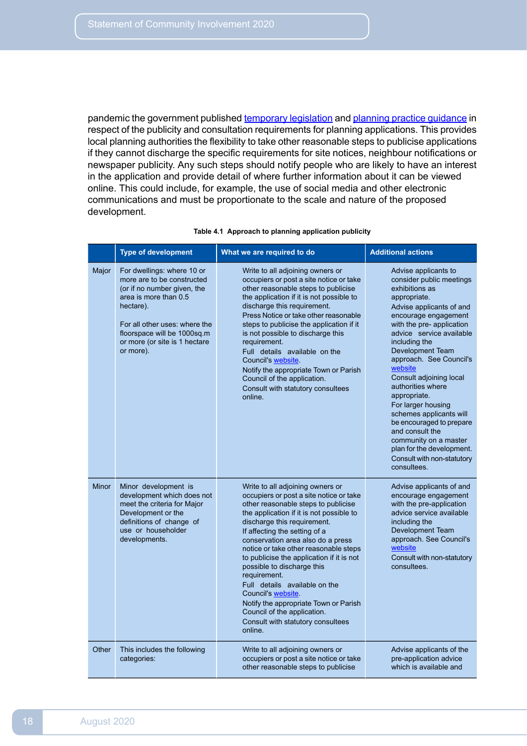pandemic the government published [temporary](https://www.legislation.gov.uk/uksi/2020/731/made) legislation and planning practice [guidance](https://www.gov.uk/guidance/coronavirus-covid-19-planning-update#publicity-and-consultation-for-planning-applications) in respect of the publicity and consultation requirements for planning applications. This provides local planning authorities the flexibility to take other reasonable steps to publicise applications if they cannot discharge the specific requirements for site notices, neighbour notifications or newspaper publicity. Any such steps should notify people who are likely to have an interest in the application and provide detail of where further information about it can be viewed online. This could include, for example, the use of social media and other electronic communications and must be proportionate to the scale and nature of the proposed development.

|              | <b>Type of development</b>                                                                                                                                                                                                                  | What we are required to do                                                                                                                                                                                                                                                                                                                                                                                                                                                                                                                                                            | <b>Additional actions</b>                                                                                                                                                                                                                                                                                                                                                                                                                                                                                                                     |
|--------------|---------------------------------------------------------------------------------------------------------------------------------------------------------------------------------------------------------------------------------------------|---------------------------------------------------------------------------------------------------------------------------------------------------------------------------------------------------------------------------------------------------------------------------------------------------------------------------------------------------------------------------------------------------------------------------------------------------------------------------------------------------------------------------------------------------------------------------------------|-----------------------------------------------------------------------------------------------------------------------------------------------------------------------------------------------------------------------------------------------------------------------------------------------------------------------------------------------------------------------------------------------------------------------------------------------------------------------------------------------------------------------------------------------|
| Major        | For dwellings: where 10 or<br>more are to be constructed<br>(or if no number given, the<br>area is more than 0.5<br>hectare).<br>For all other uses: where the<br>floorspace will be 1000sq.m<br>or more (or site is 1 hectare<br>or more). | Write to all adjoining owners or<br>occupiers or post a site notice or take<br>other reasonable steps to publicise<br>the application if it is not possible to<br>discharge this requirement.<br>Press Notice or take other reasonable<br>steps to publicise the application if it<br>is not possible to discharge this<br>requirement.<br>Full details available on the<br>Council's website.<br>Notify the appropriate Town or Parish<br>Council of the application.<br>Consult with statutory consultees<br>online.                                                                | Advise applicants to<br>consider public meetings<br>exhibitions as<br>appropriate.<br>Advise applicants of and<br>encourage engagement<br>with the pre- application<br>advice service available<br>including the<br>Development Team<br>approach. See Council's<br>website<br>Consult adjoining local<br>authorities where<br>appropriate.<br>For larger housing<br>schemes applicants will<br>be encouraged to prepare<br>and consult the<br>community on a master<br>plan for the development.<br>Consult with non-statutory<br>consultees. |
| <b>Minor</b> | Minor development is<br>development which does not<br>meet the criteria for Major<br>Development or the<br>definitions of change of<br>use or householder<br>developments.                                                                  | Write to all adjoining owners or<br>occupiers or post a site notice or take<br>other reasonable steps to publicise<br>the application if it is not possible to<br>discharge this requirement.<br>If affecting the setting of a<br>conservation area also do a press<br>notice or take other reasonable steps<br>to publicise the application if it is not<br>possible to discharge this<br>requirement.<br>Full details available on the<br>Council's website<br>Notify the appropriate Town or Parish<br>Council of the application.<br>Consult with statutory consultees<br>online. | Advise applicants of and<br>encourage engagement<br>with the pre-application<br>advice service available<br>including the<br>Development Team<br>approach. See Council's<br>website<br>Consult with non-statutory<br>consultees.                                                                                                                                                                                                                                                                                                              |
| Other        | This includes the following<br>categories:                                                                                                                                                                                                  | Write to all adjoining owners or<br>occupiers or post a site notice or take<br>other reasonable steps to publicise                                                                                                                                                                                                                                                                                                                                                                                                                                                                    | Advise applicants of the<br>pre-application advice<br>which is available and                                                                                                                                                                                                                                                                                                                                                                                                                                                                  |

#### **Table 4.1 Approach to planning application publicity**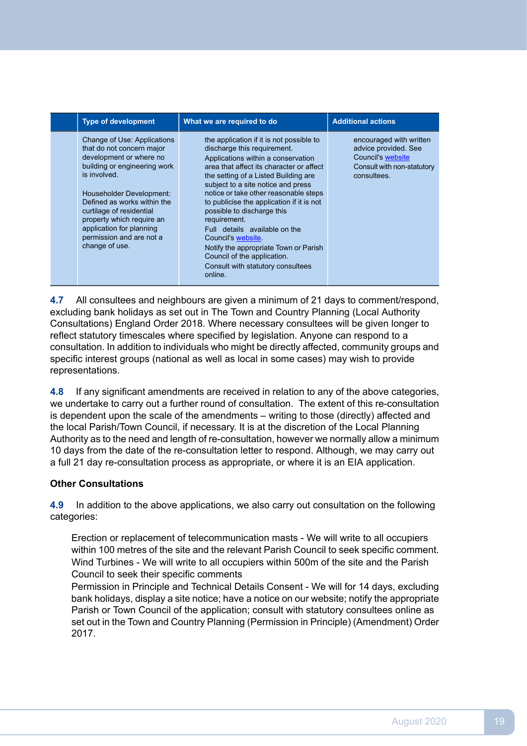| <b>Type of development</b>                                                                                                                                                                                                                                                                                                        | What we are required to do                                                                                                                                                                                                                                                                                                                                                                                                                                                                                                                                 | <b>Additional actions</b>                                                                                                |
|-----------------------------------------------------------------------------------------------------------------------------------------------------------------------------------------------------------------------------------------------------------------------------------------------------------------------------------|------------------------------------------------------------------------------------------------------------------------------------------------------------------------------------------------------------------------------------------------------------------------------------------------------------------------------------------------------------------------------------------------------------------------------------------------------------------------------------------------------------------------------------------------------------|--------------------------------------------------------------------------------------------------------------------------|
| Change of Use: Applications<br>that do not concern major<br>development or where no<br>building or engineering work<br>is involved.<br>Householder Development:<br>Defined as works within the<br>curtilage of residential<br>property which require an<br>application for planning<br>permission and are not a<br>change of use. | the application if it is not possible to<br>discharge this requirement.<br>Applications within a conservation<br>area that affect its character or affect<br>the setting of a Listed Building are<br>subject to a site notice and press<br>notice or take other reasonable steps<br>to publicise the application if it is not<br>possible to discharge this<br>requirement.<br>Full details available on the<br>Council's website.<br>Notify the appropriate Town or Parish<br>Council of the application.<br>Consult with statutory consultees<br>online. | encouraged with written<br>advice provided. See<br><b>Council's website</b><br>Consult with non-statutory<br>consultees. |

 $4.7$  excluding bank holidays as set out in The Town and Country Planning (Local Authority Consultations) England Order 2018. Where necessary consultees will be given longer to reflect statutory timescales where specified by legislation. Anyone can respond to a consultation. In addition to individuals who might be directly affected, community groups and specific interest groups (national as well as local in some cases) may wish to provide All consultees and neighbours are given a minimum of 21 days to comment/respond, representations.

4.8 we undertake to carry out a further round of consultation. The extent of this re-consultation is dependent upon the scale of the amendments – writing to those (directly) affected and the local Parish/Town Council, if necessary. It is at the discretion of the Local Planning Authority as to the need and length of re-consultation, however we normally allow a minimum 10 days from the date of the re-consultation letter to respond. Although, we may carry out a full 21 day re-consultation process as appropriate, or where it is an EIA application. **4.8** If any significant amendments are received in relation to any of the above categories,

# **Other Consultations**

 $4.9$ **4.9** In addition to the above applications, we also carry out consultation on the following categories:

Erection or replacement of telecommunication masts - We will write to all occupiers within 100 metres of the site and the relevant Parish Council to seek specific comment. Wind Turbines - We will write to all occupiers within 500m of the site and the Parish Council to seek their specific comments

 Permission in Principle and Technical Details Consent - We will for 14 days, excluding bank holidays, display a site notice; have a notice on our website; notify the appropriate Parish or Town Council of the application; consult with statutory consultees online as set out in the Town and Country Planning (Permission in Principle) (Amendment) Order 2017.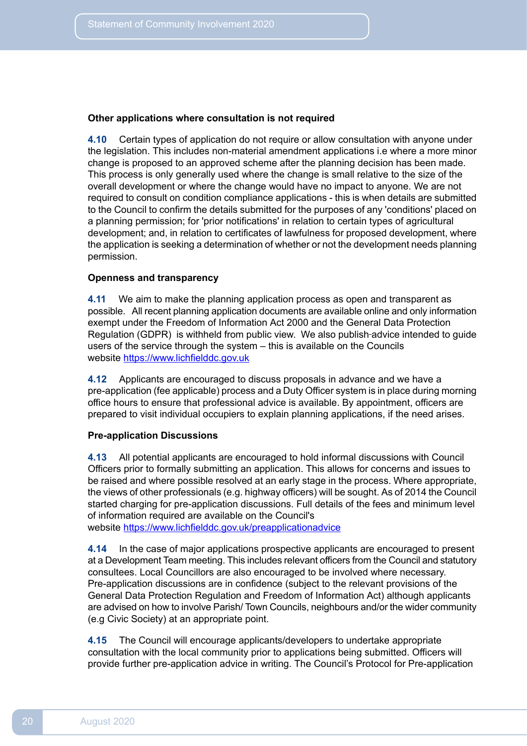#### **Other applications where consultation is not required**

4.10 the legislation. This includes non-material amendment applications i.e where a more minor change is proposed to an approved scheme after the planning decision has been made. This process is only generally used where the change is small relative to the size of the overall development or where the change would have no impact to anyone. We are not required to consult on condition compliance applications - this is when details are submitted to the Council to confirm the details submitted for the purposes of any 'conditions' placed on a planning permission; for 'prior notifications' in relation to certain types of agricultural development; and, in relation to certificates of lawfulness for proposed development, where the application is seeking a determination of whether or not the development needs planning **4.10** Certain types of application do not require or allow consultation with anyone under permission.

# **Openness and transparency**

4.11 possible. All recent planning application documents are available online and only information exempt under the Freedom of Information Act 2000 and the General Data Protection Regulation (GDPR) is withheld from public view. We also publish-advice intended to guide users of the service through the system – this is available on the Councils We aim to make the planning application process as open and transparent as website [https://www.lichfielddc.gov.uk](www.lichfielddc.gov.uk)

 **4.12** Applicants are encouraged to discuss proposals in advance and we have a pre-application (fee applicable) process and a Duty Officer system is in place during morning office hours to ensure that professional advice is available. By appointment, officers are prepared to visit individual occupiers to explain planning applications, if the need arises.

#### **Pre-application Discussions**

4.13 Officers prior to formally submitting an application. This allows for concerns and issues to be raised and where possible resolved at an early stage in the process. Where appropriate, the views of other professionals (e.g. highway officers) will be sought. As of 2014 the Council started charging for pre-application discussions. Full details of the fees and minimum level of information required are available on the Council's **4.13** All potential applicants are encouraged to hold informal discussions with Council

website <https://www.lichfielddc.gov.uk/preapplicationadvice>

**4.14** In the case of major applications prospective applicants are encouraged to present at a Development Team meeting. This includes relevant officers from the Council and statutory consultees. Local Councillors are also encouraged to be involved where necessary. Pre-application discussions are in confidence (subject to the relevant provisions of the General Data Protection Regulation and Freedom of Information Act) although applicants are advised on how to involve Parish/ Town Councils, neighbours and/or the wider community (e.g Civic Society) at an appropriate point.

4.15 consultation with the local community prior to applications being submitted. Officers will provide further pre-application advice in writing. The Council's Protocol for Pre-application **4.15** The Council will encourage applicants/developers to undertake appropriate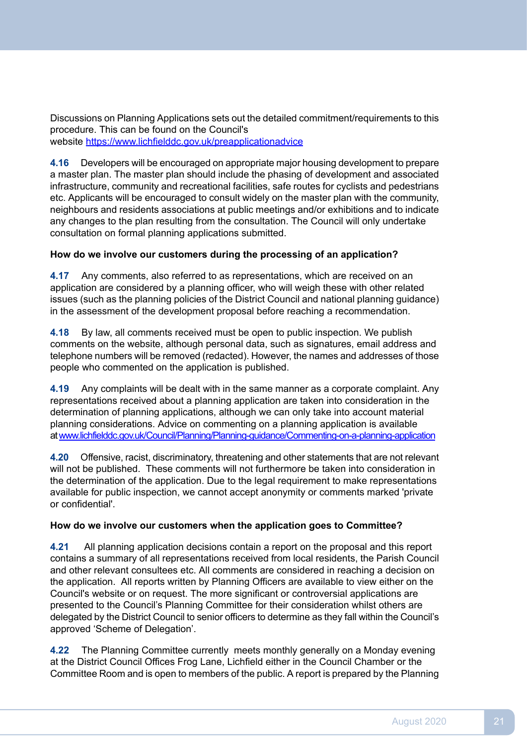Discussions on Planning Applications sets out the detailed commitment/requirements to this procedure. This can be found on the Council's website <https://www.lichfielddc.gov.uk/preapplicationadvice>

 **4.16** Developers will be encouraged on appropriate major housing development to prepare a master plan. The master plan should include the phasing of development and associated infrastructure, community and recreational facilities, safe routes for cyclists and pedestrians etc. Applicants will be encouraged to consult widely on the master plan with the community, neighbours and residents associations at public meetings and/or exhibitions and to indicate any changes to the plan resulting from the consultation. The Council will only undertake consultation on formal planning applications submitted.

# **How do we involve our customers during the processing of an application?**

 application are considered by a planning officer, who will weigh these with other related issues (such as the planning policies of the District Council and national planning guidance) in the assessment of the development proposal before reaching a recommendation. **4.17** Any comments, also referred to as representations, which are received on an

4.18 comments on the website, although personal data, such as signatures, email address and telephone numbers will be removed (redacted). However, the names and addresses of those people who commented on the application is published. **4.18** By law, all comments received must be open to public inspection. We publish

4.19 representations received about a planning application are taken into consideration in the determination of planning applications, although we can only take into account material planning considerations. Advice on commenting on a planning application is available **4.19** Any complaints will be dealt with in the same manner as a corporate complaint. Any at[www.lichfielddc.gov.uk/Council/Planning/Planning-guidance/Commenting-on-a-planning-application](https://www.lichfielddc.gov.uk/Council/Planning/Planning-guidance/Commenting-on-a-planning-application.aspx)

 **4.20** Offensive, racist, discriminatory, threatening and other statements that are not relevant will not be published. These comments will not furthermore be taken into consideration in the determination of the application. Due to the legal requirement to make representations available for public inspection, we cannot accept anonymity or comments marked 'private or confidential'.

# **How do we involve our customers when the application goes to Committee?**

 $4.21$  contains a summary of all representations received from local residents, the Parish Council and other relevant consultees etc. All comments are considered in reaching a decision on the application. All reports written by Planning Officers are available to view either on the Council's website or on request. The more significant or controversial applications are presented to the Council's Planning Committee for their consideration whilst others are delegated by the District Council to senior officers to determine as they fall within the Council's approved 'Scheme of Delegation'. **4.21** All planning application decisions contain a report on the proposal and this report

 **4.22** The Planning Committee currently meets monthly generally on a Monday evening at the District Council Offices Frog Lane, Lichfield either in the Council Chamber or the Committee Room and is open to members of the public. A report is prepared by the Planning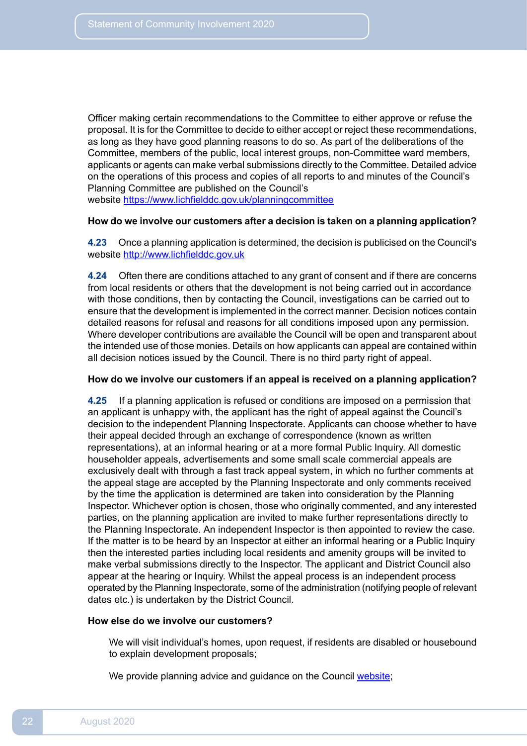Officer making certain recommendations to the Committee to either approve or refuse the proposal. It is for the Committee to decide to either accept or reject these recommendations, as long as they have good planning reasons to do so. As part of the deliberations of the Committee, members of the public, local interest groups, non-Committee ward members, applicants or agents can make verbal submissions directly to the Committee. Detailed advice on the operations of this process and copies of all reports to and minutes of the Council's Planning Committee are published on the Council's website [https://www.lichfielddc.gov.uk/planningcommittee](https://www.lichfielddc.gov.uk/planning-committee)

#### **How do we involve our customers after a decision is taken on a planning application?**

 **4.23** Once a planning application is determined, the decision is publicised on the Council's website <http://www.lichfielddc.gov.uk>

 **4.24** Often there are conditions attached to any grant of consent and if there are concerns from local residents or others that the development is not being carried out in accordance with those conditions, then by contacting the Council, investigations can be carried out to ensure that the development is implemented in the correct manner. Decision notices contain detailed reasons for refusal and reasons for all conditions imposed upon any permission. Where developer contributions are available the Council will be open and transparent about the intended use of those monies. Details on how applicants can appeal are contained within all decision notices issued by the Council. There is no third party right of appeal.

#### **How do we involve our customers if an appeal is received on a planning application?**

4.25 an applicant is unhappy with, the applicant has the right of appeal against the Council's decision to the independent Planning Inspectorate. Applicants can choose whether to have their appeal decided through an exchange of correspondence (known as written representations), at an informal hearing or at a more formal Public Inquiry. All domestic householder appeals, advertisements and some small scale commercial appeals are exclusively dealt with through a fast track appeal system, in which no further comments at the appeal stage are accepted by the Planning Inspectorate and only comments received by the time the application is determined are taken into consideration by the Planning Inspector. Whichever option is chosen, those who originally commented, and any interested parties, on the planning application are invited to make further representations directly to the Planning Inspectorate. An independent Inspector is then appointed to review the case. If the matter is to be heard by an Inspector at either an informal hearing or a Public Inquiry then the interested parties including local residents and amenity groups will be invited to make verbal submissions directly to the Inspector. The applicant and District Council also appear at the hearing or Inquiry. Whilst the appeal process is an independent process operated by the Planning Inspectorate, some of the administration (notifying people of relevant dates etc.) is undertaken by the District Council. **4.25** If a planning application is refused or conditions are imposed on a permission that

#### **How else do we involve our customers?**

 We will visit individual's homes, upon request, if residents are disabled or housebound to explain development proposals;

We provide planning advice and guidance on the Council [website;](https://www.lichfielddc.gov.uk/Home.aspx)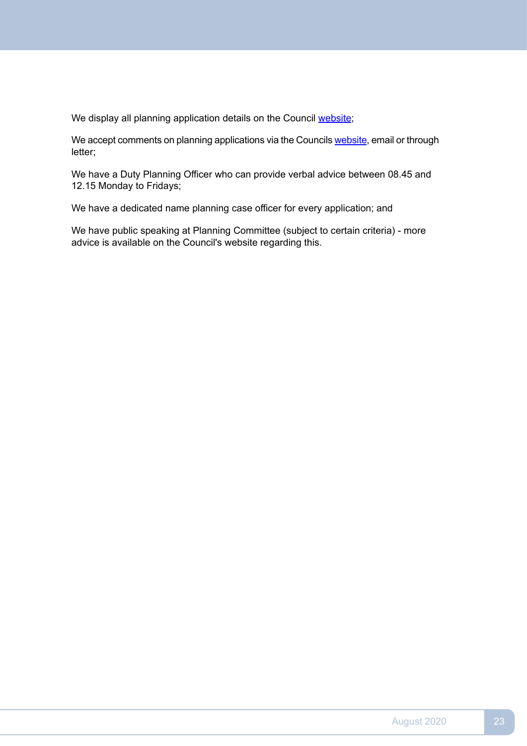We display all planning application details on the Council [website](https://www.lichfielddc.gov.uk/Home.aspx);

We accept comments on planning applications via the Councils [website](https://www.lichfielddc.gov.uk/Home.aspx), email or through letter;

We have a Duty Planning Officer who can provide verbal advice between 08.45 and 12.15 Monday to Fridays;

We have a dedicated name planning case officer for every application; and

We have public speaking at Planning Committee (subject to certain criteria) - more advice is available on the Council's website regarding this.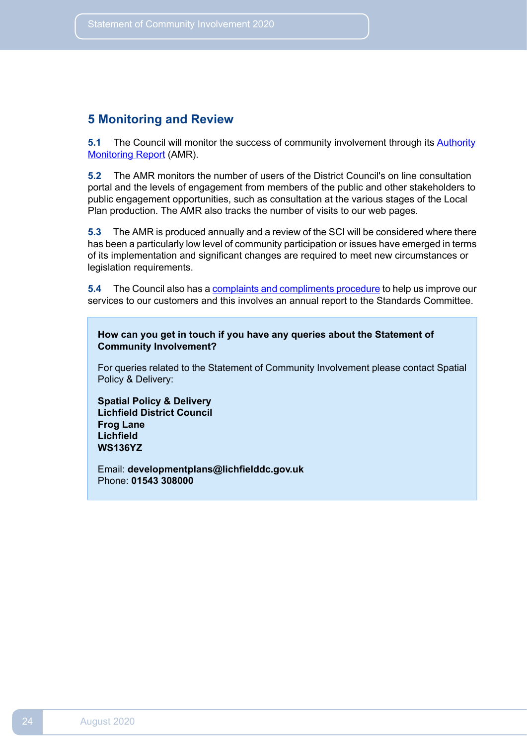# <span id="page-23-0"></span>**5 Monitoring and Review**

**5.1** The Council will monitor the success of community [involvement](https://www.lichfielddc.gov.uk/Council/Planning/The-local-plan-and-planning-policy/Resource-centre/Monitoring/Annualauthority-monitoring-report-AMR.aspx) through its **Authority** Monitoring Report (AMR).

 $5.2$  portal and the levels of engagement from members of the public and other stakeholders to public engagement opportunities, such as consultation at the various stages of the Local Plan production. The AMR also tracks the number of visits to our web pages. **5.2** The AMR monitors the number of users of the District Council's on line consultation

 $5.3$  has been a particularly low level of community participation or issues have emerged in terms of its implementation and significant changes are required to meet new circumstances or **5.3** The AMR is produced annually and a review of the SCI will be considered where there legislation requirements.

**5.4** The Council also has a **complaints and [compliments](https://www.lichfielddc.gov.uk/Council/Voice-it/Complaints-and-feedback.aspx) procedure** to help us improve our services to our customers and this involves an annual report to the Standards Committee.

**How can you get in touch if you have any queries about the Statement of Community Involvement?**

For queries related to the Statement of Community Involvement please contact Spatial Policy & Delivery:

**Spatial Policy & Delivery Lichfield District Council Frog Lane Lichfield WS136YZ**

Email: **[developmentplans@lichfielddc.gov.uk](mailto:developmentplans@lichfielddc.gov.uk)** Phone: **01543 308000**